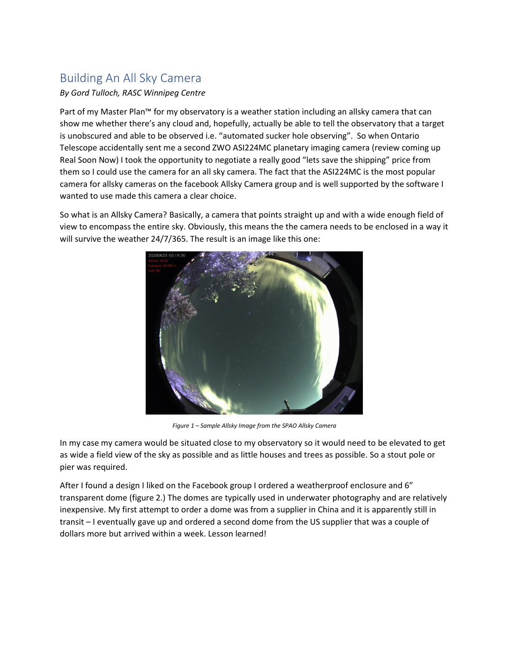## Building An All Sky Camera

## *By Gord Tulloch, RASC Winnipeg Centre*

Part of my Master Plan™ for my observatory is a weather station including an allsky camera that can show me whether there's any cloud and, hopefully, actually be able to tell the observatory that a target is unobscured and able to be observed i.e. "automated sucker hole observing". So when Ontario Telescope accidentally sent me a second ZWO ASI224MC planetary imaging camera (review coming up Real Soon Now) I took the opportunity to negotiate a really good "lets save the shipping" price from them so I could use the camera for an all sky camera. The fact that the ASI224MC is the most popular camera for allsky cameras on the facebook Allsky Camera group and is well supported by the software I wanted to use made this camera a clear choice.

So what is an Allsky Camera? Basically, a camera that points straight up and with a wide enough field of view to encompass the entire sky. Obviously, this means the the camera needs to be enclosed in a way it will survive the weather 24/7/365. The result is an image like this one:



*Figure 1 – Sample Allsky Image from the SPAO Allsky Camera*

In my case my camera would be situated close to my observatory so it would need to be elevated to get as wide a field view of the sky as possible and as little houses and trees as possible. So a stout pole or pier was required.

After I found a design I liked on the Facebook group I ordered a weatherproof enclosure and 6" transparent dome (figure 2.) The domes are typically used in underwater photography and are relatively inexpensive. My first attempt to order a dome was from a supplier in China and it is apparently still in transit – I eventually gave up and ordered a second dome from the US supplier that was a couple of dollars more but arrived within a week. Lesson learned!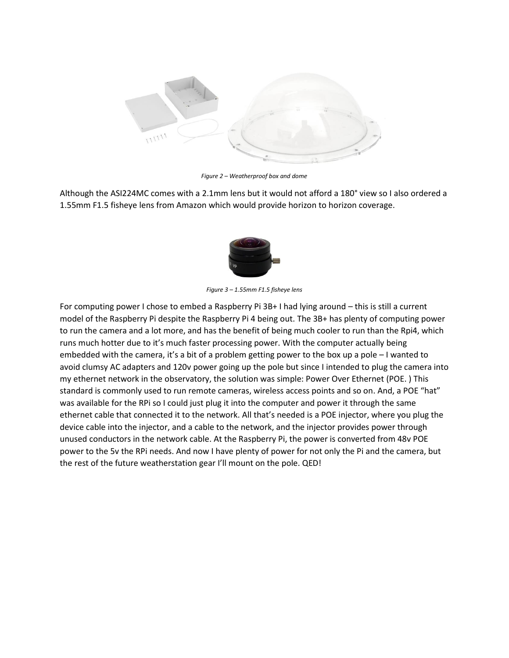

*Figure 2 – Weatherproof box and dome*

Although the ASI224MC comes with a 2.1mm lens but it would not afford a 180° view so I also ordered a 1.55mm F1.5 fisheye lens from Amazon which would provide horizon to horizon coverage.



*Figure 3 – 1.55mm F1.5 fisheye lens*

For computing power I chose to embed a Raspberry Pi 3B+ I had lying around – this is still a current model of the Raspberry Pi despite the Raspberry Pi 4 being out. The 3B+ has plenty of computing power to run the camera and a lot more, and has the benefit of being much cooler to run than the Rpi4, which runs much hotter due to it's much faster processing power. With the computer actually being embedded with the camera, it's a bit of a problem getting power to the box up a pole – I wanted to avoid clumsy AC adapters and 120v power going up the pole but since I intended to plug the camera into my ethernet network in the observatory, the solution was simple: Power Over Ethernet (POE. ) This standard is commonly used to run remote cameras, wireless access points and so on. And, a POE "hat" was available for the RPi so I could just plug it into the computer and power it through the same ethernet cable that connected it to the network. All that's needed is a POE injector, where you plug the device cable into the injector, and a cable to the network, and the injector provides power through unused conductors in the network cable. At the Raspberry Pi, the power is converted from 48v POE power to the 5v the RPi needs. And now I have plenty of power for not only the Pi and the camera, but the rest of the future weatherstation gear I'll mount on the pole. QED!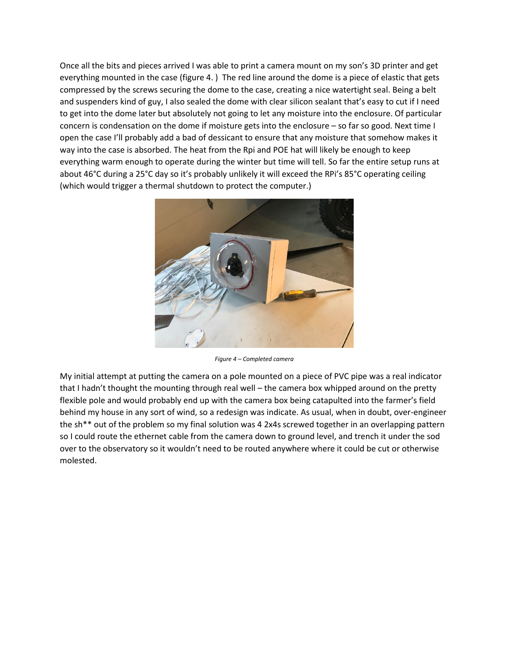Once all the bits and pieces arrived I was able to print a camera mount on my son's 3D printer and get everything mounted in the case (figure 4. ) The red line around the dome is a piece of elastic that gets compressed by the screws securing the dome to the case, creating a nice watertight seal. Being a belt and suspenders kind of guy, I also sealed the dome with clear silicon sealant that's easy to cut if I need to get into the dome later but absolutely not going to let any moisture into the enclosure. Of particular concern is condensation on the dome if moisture gets into the enclosure – so far so good. Next time I open the case I'll probably add a bad of dessicant to ensure that any moisture that somehow makes it way into the case is absorbed. The heat from the Rpi and POE hat will likely be enough to keep everything warm enough to operate during the winter but time will tell. So far the entire setup runs at about 46°C during a 25°C day so it's probably unlikely it will exceed the RPi's 85°C operating ceiling (which would trigger a thermal shutdown to protect the computer.)



*Figure 4 – Completed camera*

My initial attempt at putting the camera on a pole mounted on a piece of PVC pipe was a real indicator that I hadn't thought the mounting through real well – the camera box whipped around on the pretty flexible pole and would probably end up with the camera box being catapulted into the farmer's field behind my house in any sort of wind, so a redesign was indicate. As usual, when in doubt, over-engineer the sh\*\* out of the problem so my final solution was 4 2x4s screwed together in an overlapping pattern so I could route the ethernet cable from the camera down to ground level, and trench it under the sod over to the observatory so it wouldn't need to be routed anywhere where it could be cut or otherwise molested.